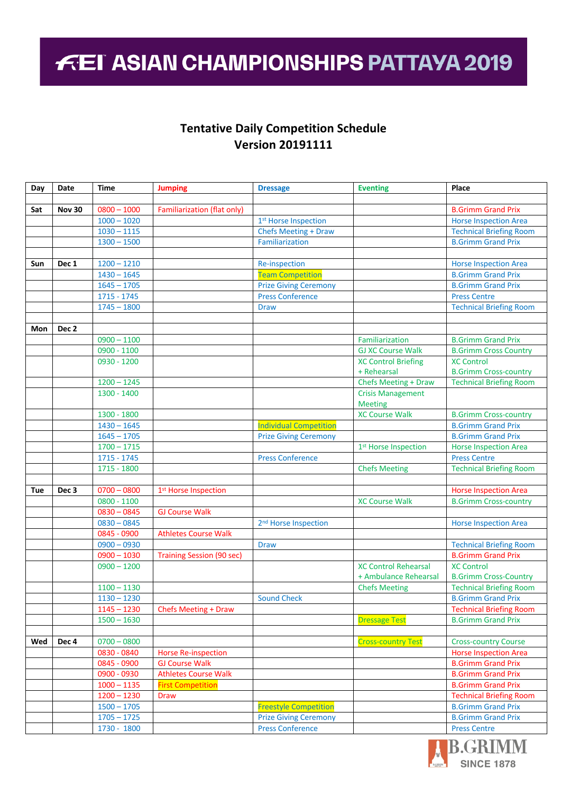## **FEI ASIAN CHAMPIONSHIPS PATTAYA 2019**

## **Tentative Daily Competition Schedule Version 20191111**

| Day | Date             | <b>Time</b>              | <b>Jumping</b>                     | <b>Dressage</b>                  | <b>Eventing</b>                  | Place                          |
|-----|------------------|--------------------------|------------------------------------|----------------------------------|----------------------------------|--------------------------------|
|     |                  |                          |                                    |                                  |                                  |                                |
| Sat | <b>Nov 30</b>    | $\overline{0800} - 1000$ | <b>Familiarization (flat only)</b> |                                  |                                  | <b>B.Grimm Grand Prix</b>      |
|     |                  | $1000 - 1020$            |                                    | 1st Horse Inspection             |                                  | <b>Horse Inspection Area</b>   |
|     |                  | $1030 - 1115$            |                                    | <b>Chefs Meeting + Draw</b>      |                                  | <b>Technical Briefing Room</b> |
|     |                  | $1300 - 1500$            |                                    | Familiarization                  |                                  | <b>B.Grimm Grand Prix</b>      |
|     |                  |                          |                                    |                                  |                                  |                                |
| Sun | Dec 1            | $1200 - 1210$            |                                    | Re-inspection                    |                                  | <b>Horse Inspection Area</b>   |
|     |                  | $1430 - 1645$            |                                    | <b>Team Competition</b>          |                                  | <b>B.Grimm Grand Prix</b>      |
|     |                  | $1645 - 1705$            |                                    | <b>Prize Giving Ceremony</b>     |                                  | <b>B.Grimm Grand Prix</b>      |
|     |                  | $1715 - 1745$            |                                    | <b>Press Conference</b>          |                                  | <b>Press Centre</b>            |
|     |                  | $1745 - 1800$            |                                    | <b>Draw</b>                      |                                  | <b>Technical Briefing Room</b> |
|     |                  |                          |                                    |                                  |                                  |                                |
| Mon | Dec <sub>2</sub> |                          |                                    |                                  |                                  |                                |
|     |                  | $0900 - 1100$            |                                    |                                  | Familiarization                  | <b>B.Grimm Grand Prix</b>      |
|     |                  | 0900 - 1100              |                                    |                                  | <b>GJ XC Course Walk</b>         | <b>B.Grimm Cross Country</b>   |
|     |                  | 0930 - 1200              |                                    |                                  | <b>XC Control Briefing</b>       | <b>XC Control</b>              |
|     |                  |                          |                                    |                                  | + Rehearsal                      | <b>B.Grimm Cross-country</b>   |
|     |                  | $1200 - 1245$            |                                    |                                  | Chefs Meeting + Draw             | <b>Technical Briefing Room</b> |
|     |                  | 1300 - 1400              |                                    |                                  | <b>Crisis Management</b>         |                                |
|     |                  |                          |                                    |                                  | <b>Meeting</b>                   |                                |
|     |                  | 1300 - 1800              |                                    |                                  | <b>XC Course Walk</b>            | <b>B.Grimm Cross-country</b>   |
|     |                  | $1430 - 1645$            |                                    | <b>Individual Competition</b>    |                                  | <b>B.Grimm Grand Prix</b>      |
|     |                  | $1645 - 1705$            |                                    | <b>Prize Giving Ceremony</b>     |                                  | <b>B.Grimm Grand Prix</b>      |
|     |                  | $1700 - 1715$            |                                    |                                  | 1 <sup>st</sup> Horse Inspection | <b>Horse Inspection Area</b>   |
|     |                  | 1715 - 1745              |                                    | <b>Press Conference</b>          |                                  | <b>Press Centre</b>            |
|     |                  | 1715 - 1800              |                                    |                                  | <b>Chefs Meeting</b>             | <b>Technical Briefing Room</b> |
|     |                  |                          |                                    |                                  |                                  |                                |
| Tue | Dec <sub>3</sub> | $0700 - 0800$            | 1st Horse Inspection               |                                  |                                  | <b>Horse Inspection Area</b>   |
|     |                  | $0800 - 1100$            |                                    |                                  | <b>XC Course Walk</b>            | <b>B.Grimm Cross-country</b>   |
|     |                  | $0830 - 0845$            | <b>GJ Course Walk</b>              |                                  |                                  |                                |
|     |                  | $0830 - 0845$            |                                    | 2 <sup>nd</sup> Horse Inspection |                                  | <b>Horse Inspection Area</b>   |
|     |                  | 0845 - 0900              | <b>Athletes Course Walk</b>        |                                  |                                  |                                |
|     |                  | $0900 - 0930$            |                                    | <b>Draw</b>                      |                                  | <b>Technical Briefing Room</b> |
|     |                  | $0900 - 1030$            | <b>Training Session (90 sec)</b>   |                                  |                                  | <b>B.Grimm Grand Prix</b>      |
|     |                  | $0900 - 1200$            |                                    |                                  | <b>XC Control Rehearsal</b>      | <b>XC Control</b>              |
|     |                  |                          |                                    |                                  | + Ambulance Rehearsal            | <b>B.Grimm Cross-Country</b>   |
|     |                  | $1100 - 1130$            |                                    |                                  | <b>Chefs Meeting</b>             | <b>Technical Briefing Room</b> |
|     |                  | $1130 - 1230$            |                                    | <b>Sound Check</b>               |                                  | <b>B.Grimm Grand Prix</b>      |
|     |                  | $1145 - 1230$            | <b>Chefs Meeting + Draw</b>        |                                  |                                  | <b>Technical Briefing Room</b> |
|     |                  | $1500 - 1630$            |                                    |                                  | <b>Dressage Test</b>             | <b>B.Grimm Grand Prix</b>      |
|     |                  |                          |                                    |                                  |                                  |                                |
| Wed | Dec 4            | $0700 - 0800$            |                                    |                                  | <b>Cross-country Test</b>        | <b>Cross-country Course</b>    |
|     |                  | 0830 - 0840              | <b>Horse Re-inspection</b>         |                                  |                                  | <b>Horse Inspection Area</b>   |
|     |                  | 0845 - 0900              | <b>GJ Course Walk</b>              |                                  |                                  | <b>B.Grimm Grand Prix</b>      |
|     |                  | 0900 - 0930              | <b>Athletes Course Walk</b>        |                                  |                                  | <b>B.Grimm Grand Prix</b>      |
|     |                  | $1000 - 1135$            | <b>First Competition</b>           |                                  |                                  | <b>B.Grimm Grand Prix</b>      |
|     |                  | $1200 - 1230$            | Draw                               |                                  |                                  | <b>Technical Briefing Room</b> |
|     |                  | $1500 - 1705$            |                                    | <b>Freestyle Competition</b>     |                                  | <b>B.Grimm Grand Prix</b>      |
|     |                  | $1705 - 1725$            |                                    | <b>Prize Giving Ceremony</b>     |                                  | <b>B.Grimm Grand Prix</b>      |
|     |                  | 1730 - 1800              |                                    | <b>Press Conference</b>          |                                  | <b>Press Centre</b>            |